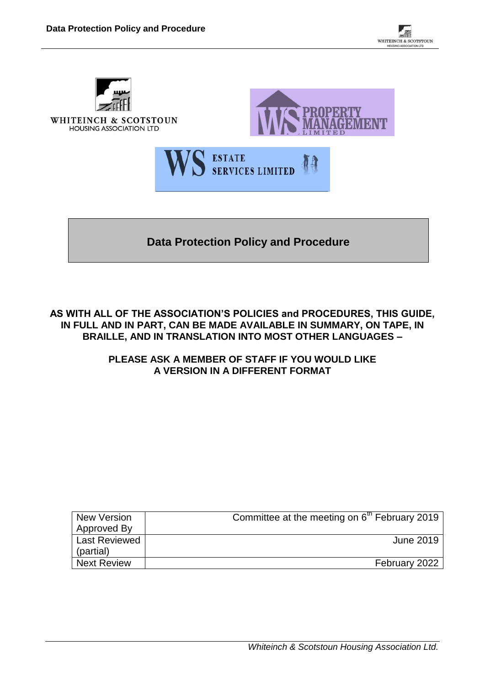



# **Data Protection Policy and Procedure**

**AS WITH ALL OF THE ASSOCIATION'S POLICIES and PROCEDURES, THIS GUIDE, IN FULL AND IN PART, CAN BE MADE AVAILABLE IN SUMMARY, ON TAPE, IN BRAILLE, AND IN TRANSLATION INTO MOST OTHER LANGUAGES –**

## **PLEASE ASK A MEMBER OF STAFF IF YOU WOULD LIKE A VERSION IN A DIFFERENT FORMAT**

| <b>New Version</b><br>Approved By | Committee at the meeting on 6 <sup>th</sup> February 2019 |
|-----------------------------------|-----------------------------------------------------------|
| <b>Last Reviewed</b><br>(partial) | June 2019                                                 |
| <b>Next Review</b>                | February 2022                                             |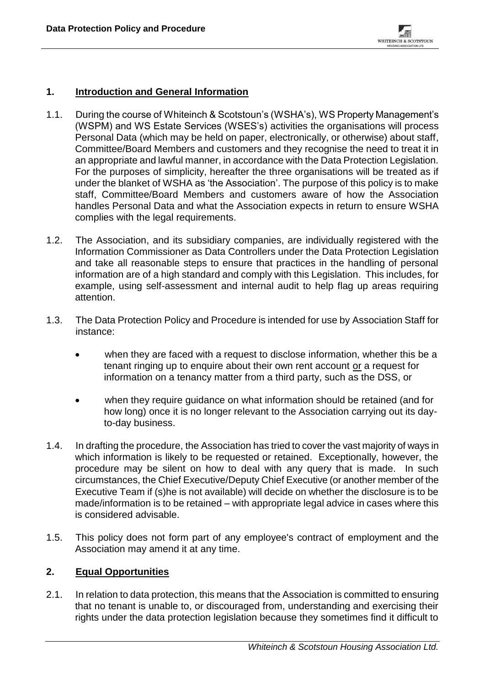

## **1. Introduction and General Information**

- 1.1. During the course of Whiteinch & Scotstoun's (WSHA's), WS Property Management's (WSPM) and WS Estate Services (WSES's) activities the organisations will process Personal Data (which may be held on paper, electronically, or otherwise) about staff, Committee/Board Members and customers and they recognise the need to treat it in an appropriate and lawful manner, in accordance with the Data Protection Legislation. For the purposes of simplicity, hereafter the three organisations will be treated as if under the blanket of WSHA as 'the Association'. The purpose of this policy is to make staff, Committee/Board Members and customers aware of how the Association handles Personal Data and what the Association expects in return to ensure WSHA complies with the legal requirements.
- 1.2. The Association, and its subsidiary companies, are individually registered with the Information Commissioner as Data Controllers under the Data Protection Legislation and take all reasonable steps to ensure that practices in the handling of personal information are of a high standard and comply with this Legislation. This includes, for example, using self-assessment and internal audit to help flag up areas requiring attention.
- 1.3. The Data Protection Policy and Procedure is intended for use by Association Staff for instance:
	- when they are faced with a request to disclose information, whether this be a tenant ringing up to enquire about their own rent account or a request for information on a tenancy matter from a third party, such as the DSS, or
	- when they require guidance on what information should be retained (and for how long) once it is no longer relevant to the Association carrying out its dayto-day business.
- 1.4. In drafting the procedure, the Association has tried to cover the vast majority of ways in which information is likely to be requested or retained. Exceptionally, however, the procedure may be silent on how to deal with any query that is made. In such circumstances, the Chief Executive/Deputy Chief Executive (or another member of the Executive Team if (s)he is not available) will decide on whether the disclosure is to be made/information is to be retained – with appropriate legal advice in cases where this is considered advisable.
- 1.5. This policy does not form part of any employee's contract of employment and the Association may amend it at any time.

#### **2. Equal Opportunities**

2.1. In relation to data protection, this means that the Association is committed to ensuring that no tenant is unable to, or discouraged from, understanding and exercising their rights under the data protection legislation because they sometimes find it difficult to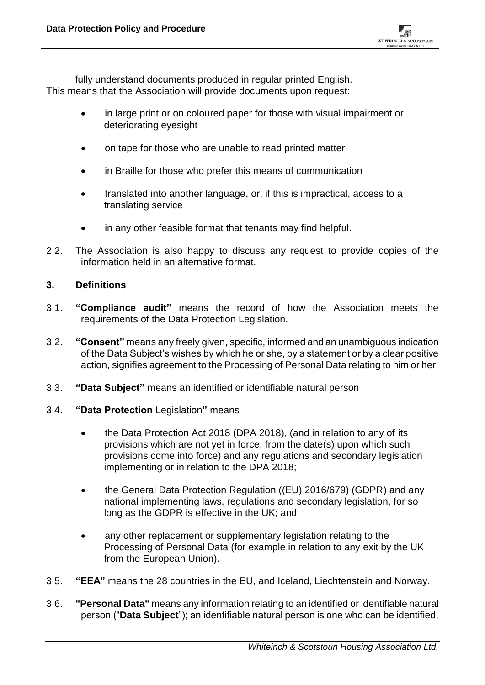

fully understand documents produced in regular printed English. This means that the Association will provide documents upon request:

- in large print or on coloured paper for those with visual impairment or deteriorating eyesight
- on tape for those who are unable to read printed matter
- in Braille for those who prefer this means of communication
- translated into another language, or, if this is impractical, access to a translating service
- in any other feasible format that tenants may find helpful.
- 2.2. The Association is also happy to discuss any request to provide copies of the information held in an alternative format.

#### **3. Definitions**

- 3.1. **"Compliance audit"** means the record of how the Association meets the requirements of the Data Protection Legislation.
- 3.2. **"Consent"** means any freely given, specific, informed and an unambiguous indication of the Data Subject's wishes by which he or she, by a statement or by a clear positive action, signifies agreement to the Processing of Personal Data relating to him or her.
- 3.3. **"Data Subject"** means an identified or identifiable natural person
- 3.4. **"Data Protection** Legislation**"** means
	- the Data Protection Act 2018 (DPA 2018), (and in relation to any of its provisions which are not yet in force; from the date(s) upon which such provisions come into force) and any regulations and secondary legislation implementing or in relation to the DPA 2018;
	- the General Data Protection Regulation ((EU) 2016/679) (GDPR) and any national implementing laws, regulations and secondary legislation, for so long as the GDPR is effective in the UK; and
	- any other replacement or supplementary legislation relating to the Processing of Personal Data (for example in relation to any exit by the UK from the European Union).
- 3.5. **"EEA"** means the 28 countries in the EU, and Iceland, Liechtenstein and Norway.
- 3.6. **"Personal Data"** means any information relating to an identified or identifiable natural person ("**Data Subject**"); an identifiable natural person is one who can be identified,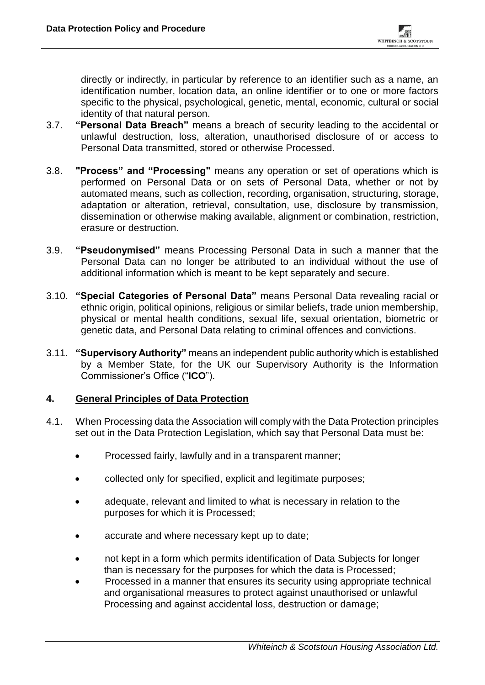directly or indirectly, in particular by reference to an identifier such as a name, an identification number, location data, an online identifier or to one or more factors specific to the physical, psychological, genetic, mental, economic, cultural or social identity of that natural person.

- 3.7. **"Personal Data Breach"** means a breach of security leading to the accidental or unlawful destruction, loss, alteration, unauthorised disclosure of or access to Personal Data transmitted, stored or otherwise Processed.
- 3.8. **"Process" and "Processing"** means any operation or set of operations which is performed on Personal Data or on sets of Personal Data, whether or not by automated means, such as collection, recording, organisation, structuring, storage, adaptation or alteration, retrieval, consultation, use, disclosure by transmission, dissemination or otherwise making available, alignment or combination, restriction, erasure or destruction.
- 3.9. **"Pseudonymised"** means Processing Personal Data in such a manner that the Personal Data can no longer be attributed to an individual without the use of additional information which is meant to be kept separately and secure.
- 3.10. **"Special Categories of Personal Data"** means Personal Data revealing racial or ethnic origin, political opinions, religious or similar beliefs, trade union membership, physical or mental health conditions, sexual life, sexual orientation, biometric or genetic data, and Personal Data relating to criminal offences and convictions.
- 3.11. **"Supervisory Authority"** means an independent public authority which is established by a Member State, for the UK our Supervisory Authority is the Information Commissioner's Office ("**ICO**").

## **4. General Principles of Data Protection**

- 4.1. When Processing data the Association will comply with the Data Protection principles set out in the Data Protection Legislation, which say that Personal Data must be:
	- Processed fairly, lawfully and in a transparent manner;
	- collected only for specified, explicit and legitimate purposes;
	- adequate, relevant and limited to what is necessary in relation to the purposes for which it is Processed;
	- accurate and where necessary kept up to date;
	- not kept in a form which permits identification of Data Subjects for longer than is necessary for the purposes for which the data is Processed;
	- Processed in a manner that ensures its security using appropriate technical and organisational measures to protect against unauthorised or unlawful Processing and against accidental loss, destruction or damage;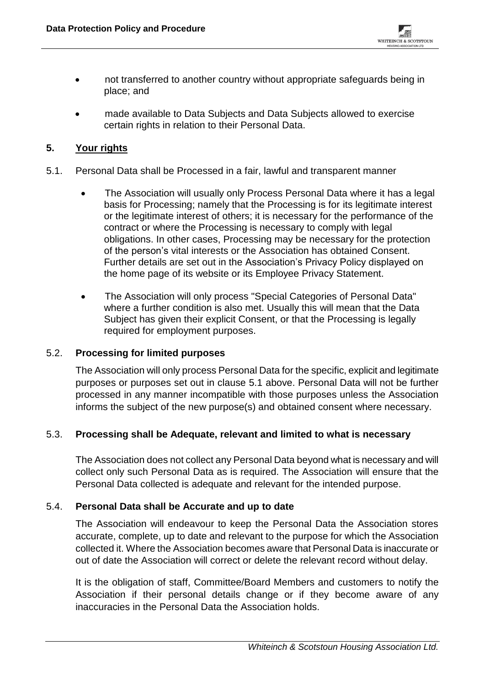

- not transferred to another country without appropriate safeguards being in place; and
- made available to Data Subjects and Data Subjects allowed to exercise certain rights in relation to their Personal Data.

## **5. Your rights**

- 5.1. Personal Data shall be Processed in a fair, lawful and transparent manner
	- The Association will usually only Process Personal Data where it has a legal basis for Processing; namely that the Processing is for its legitimate interest or the legitimate interest of others; it is necessary for the performance of the contract or where the Processing is necessary to comply with legal obligations. In other cases, Processing may be necessary for the protection of the person's vital interests or the Association has obtained Consent. Further details are set out in the Association's Privacy Policy displayed on the home page of its website or its Employee Privacy Statement.
	- The Association will only process "Special Categories of Personal Data" where a further condition is also met. Usually this will mean that the Data Subject has given their explicit Consent, or that the Processing is legally required for employment purposes.

## 5.2. **Processing for limited purposes**

The Association will only process Personal Data for the specific, explicit and legitimate purposes or purposes set out in clause 5.1 above. Personal Data will not be further processed in any manner incompatible with those purposes unless the Association informs the subject of the new purpose(s) and obtained consent where necessary.

## 5.3. **Processing shall be Adequate, relevant and limited to what is necessary**

The Association does not collect any Personal Data beyond what is necessary and will collect only such Personal Data as is required. The Association will ensure that the Personal Data collected is adequate and relevant for the intended purpose.

## 5.4. **Personal Data shall be Accurate and up to date**

The Association will endeavour to keep the Personal Data the Association stores accurate, complete, up to date and relevant to the purpose for which the Association collected it. Where the Association becomes aware that Personal Data is inaccurate or out of date the Association will correct or delete the relevant record without delay.

It is the obligation of staff, Committee/Board Members and customers to notify the Association if their personal details change or if they become aware of any inaccuracies in the Personal Data the Association holds.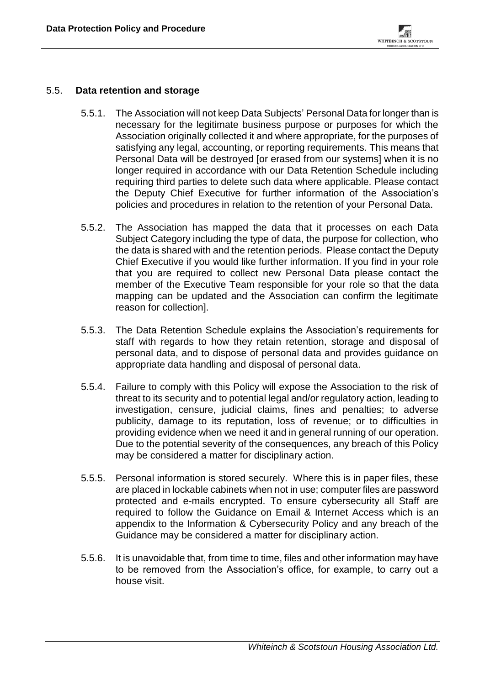

#### 5.5. **Data retention and storage**

- 5.5.1. The Association will not keep Data Subjects' Personal Data for longer than is necessary for the legitimate business purpose or purposes for which the Association originally collected it and where appropriate, for the purposes of satisfying any legal, accounting, or reporting requirements. This means that Personal Data will be destroyed [or erased from our systems] when it is no longer required in accordance with our Data Retention Schedule including requiring third parties to delete such data where applicable. Please contact the Deputy Chief Executive for further information of the Association's policies and procedures in relation to the retention of your Personal Data.
- 5.5.2. The Association has mapped the data that it processes on each Data Subject Category including the type of data, the purpose for collection, who the data is shared with and the retention periods. Please contact the Deputy Chief Executive if you would like further information. If you find in your role that you are required to collect new Personal Data please contact the member of the Executive Team responsible for your role so that the data mapping can be updated and the Association can confirm the legitimate reason for collection].
- 5.5.3. The Data Retention Schedule explains the Association's requirements for staff with regards to how they retain retention, storage and disposal of personal data, and to dispose of personal data and provides guidance on appropriate data handling and disposal of personal data.
- 5.5.4. Failure to comply with this Policy will expose the Association to the risk of threat to its security and to potential legal and/or regulatory action, leading to investigation, censure, judicial claims, fines and penalties; to adverse publicity, damage to its reputation, loss of revenue; or to difficulties in providing evidence when we need it and in general running of our operation. Due to the potential severity of the consequences, any breach of this Policy may be considered a matter for disciplinary action.
- 5.5.5. Personal information is stored securely. Where this is in paper files, these are placed in lockable cabinets when not in use; computer files are password protected and e-mails encrypted. To ensure cybersecurity all Staff are required to follow the Guidance on Email & Internet Access which is an appendix to the Information & Cybersecurity Policy and any breach of the Guidance may be considered a matter for disciplinary action.
- 5.5.6. It is unavoidable that, from time to time, files and other information may have to be removed from the Association's office, for example, to carry out a house visit.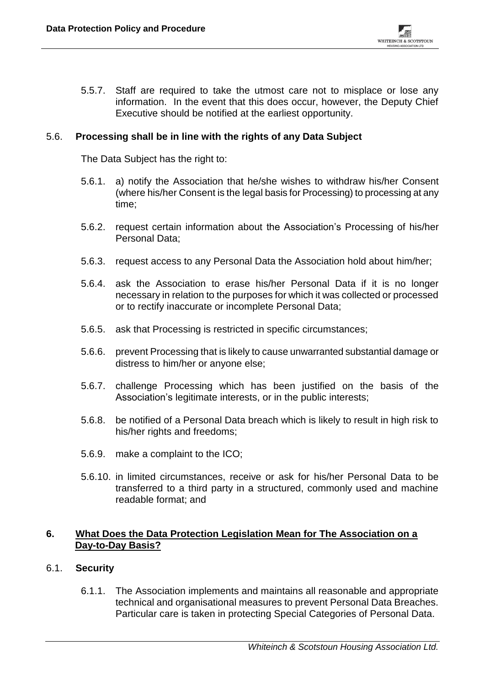

5.5.7. Staff are required to take the utmost care not to misplace or lose any information. In the event that this does occur, however, the Deputy Chief Executive should be notified at the earliest opportunity.

### 5.6. **Processing shall be in line with the rights of any Data Subject**

The Data Subject has the right to:

- 5.6.1. a) notify the Association that he/she wishes to withdraw his/her Consent (where his/her Consent is the legal basis for Processing) to processing at any time;
- 5.6.2. request certain information about the Association's Processing of his/her Personal Data;
- 5.6.3. request access to any Personal Data the Association hold about him/her;
- 5.6.4. ask the Association to erase his/her Personal Data if it is no longer necessary in relation to the purposes for which it was collected or processed or to rectify inaccurate or incomplete Personal Data;
- 5.6.5. ask that Processing is restricted in specific circumstances;
- 5.6.6. prevent Processing that is likely to cause unwarranted substantial damage or distress to him/her or anyone else;
- 5.6.7. challenge Processing which has been justified on the basis of the Association's legitimate interests, or in the public interests;
- 5.6.8. be notified of a Personal Data breach which is likely to result in high risk to his/her rights and freedoms;
- 5.6.9. make a complaint to the ICO;
- 5.6.10. in limited circumstances, receive or ask for his/her Personal Data to be transferred to a third party in a structured, commonly used and machine readable format; and

## **6. What Does the Data Protection Legislation Mean for The Association on a Day-to-Day Basis?**

#### 6.1. **Security**

6.1.1. The Association implements and maintains all reasonable and appropriate technical and organisational measures to prevent Personal Data Breaches. Particular care is taken in protecting Special Categories of Personal Data.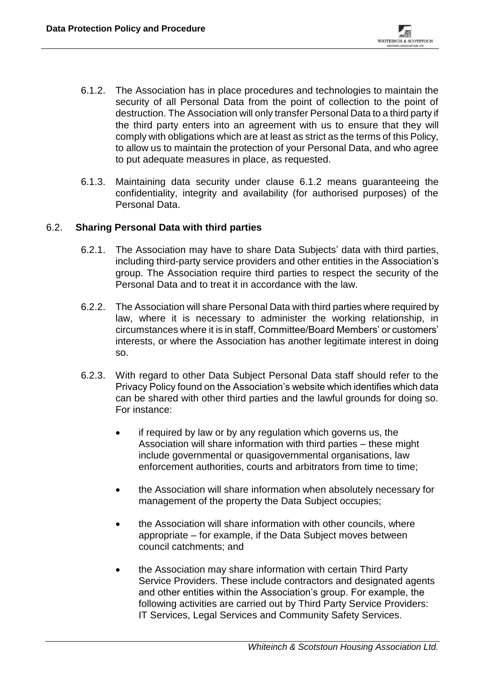

- 6.1.2. The Association has in place procedures and technologies to maintain the security of all Personal Data from the point of collection to the point of destruction. The Association will only transfer Personal Data to a third party if the third party enters into an agreement with us to ensure that they will comply with obligations which are at least as strict as the terms of this Policy, to allow us to maintain the protection of your Personal Data, and who agree to put adequate measures in place, as requested.
- 6.1.3. Maintaining data security under clause 6.1.2 means guaranteeing the confidentiality, integrity and availability (for authorised purposes) of the Personal Data.

## 6.2. **Sharing Personal Data with third parties**

- 6.2.1. The Association may have to share Data Subjects' data with third parties, including third-party service providers and other entities in the Association's group. The Association require third parties to respect the security of the Personal Data and to treat it in accordance with the law.
- 6.2.2. The Association will share Personal Data with third parties where required by law, where it is necessary to administer the working relationship, in circumstances where it is in staff, Committee/Board Members' or customers' interests, or where the Association has another legitimate interest in doing so.
- 6.2.3. With regard to other Data Subject Personal Data staff should refer to the Privacy Policy found on the Association's website which identifies which data can be shared with other third parties and the lawful grounds for doing so. For instance:
	- if required by law or by any regulation which governs us, the Association will share information with third parties – these might include governmental or quasigovernmental organisations, law enforcement authorities, courts and arbitrators from time to time;
	- the Association will share information when absolutely necessary for management of the property the Data Subject occupies;
	- the Association will share information with other councils, where appropriate – for example, if the Data Subject moves between council catchments; and
	- the Association may share information with certain Third Party Service Providers. These include contractors and designated agents and other entities within the Association's group. For example, the following activities are carried out by Third Party Service Providers: IT Services, Legal Services and Community Safety Services.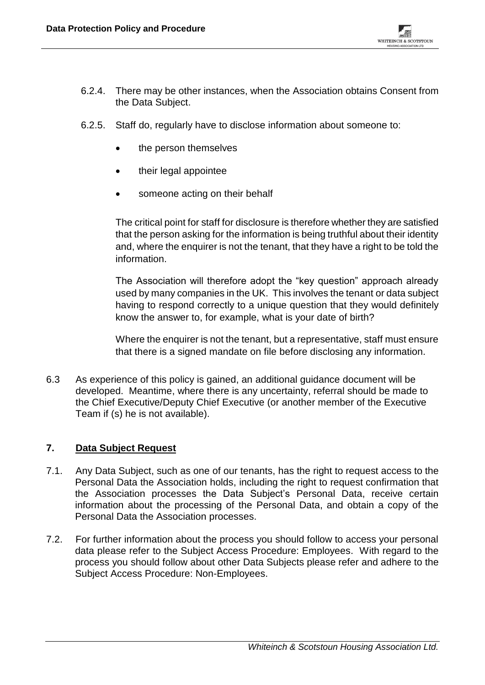

- 6.2.4. There may be other instances, when the Association obtains Consent from the Data Subject.
- 6.2.5. Staff do, regularly have to disclose information about someone to:
	- the person themselves
	- their legal appointee
	- someone acting on their behalf

The critical point for staff for disclosure is therefore whether they are satisfied that the person asking for the information is being truthful about their identity and, where the enquirer is not the tenant, that they have a right to be told the information.

The Association will therefore adopt the "key question" approach already used by many companies in the UK. This involves the tenant or data subject having to respond correctly to a unique question that they would definitely know the answer to, for example, what is your date of birth?

Where the enquirer is not the tenant, but a representative, staff must ensure that there is a signed mandate on file before disclosing any information.

6.3 As experience of this policy is gained, an additional guidance document will be developed. Meantime, where there is any uncertainty, referral should be made to the Chief Executive/Deputy Chief Executive (or another member of the Executive Team if (s) he is not available).

#### **7. Data Subject Request**

- 7.1. Any Data Subject, such as one of our tenants, has the right to request access to the Personal Data the Association holds, including the right to request confirmation that the Association processes the Data Subject's Personal Data, receive certain information about the processing of the Personal Data, and obtain a copy of the Personal Data the Association processes.
- 7.2. For further information about the process you should follow to access your personal data please refer to the Subject Access Procedure: Employees. With regard to the process you should follow about other Data Subjects please refer and adhere to the Subject Access Procedure: Non-Employees.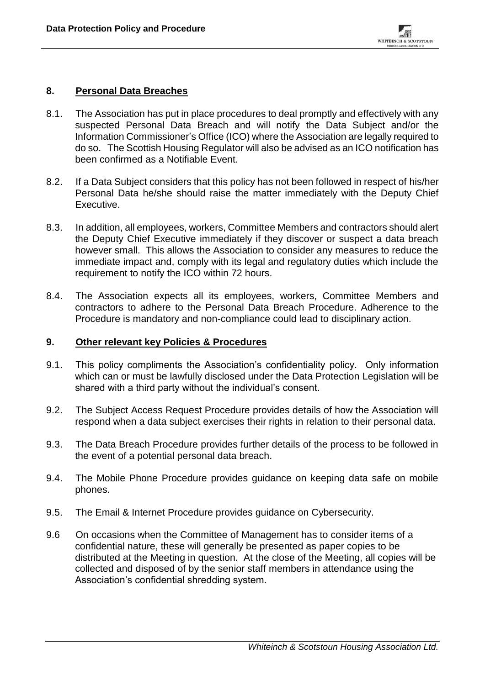### **8. Personal Data Breaches**

- 8.1. The Association has put in place procedures to deal promptly and effectively with any suspected Personal Data Breach and will notify the Data Subject and/or the Information Commissioner's Office (ICO) where the Association are legally required to do so. The Scottish Housing Regulator will also be advised as an ICO notification has been confirmed as a Notifiable Event.
- 8.2. If a Data Subject considers that this policy has not been followed in respect of his/her Personal Data he/she should raise the matter immediately with the Deputy Chief Executive.
- 8.3. In addition, all employees, workers, Committee Members and contractors should alert the Deputy Chief Executive immediately if they discover or suspect a data breach however small. This allows the Association to consider any measures to reduce the immediate impact and, comply with its legal and regulatory duties which include the requirement to notify the ICO within 72 hours.
- 8.4. The Association expects all its employees, workers, Committee Members and contractors to adhere to the Personal Data Breach Procedure. Adherence to the Procedure is mandatory and non-compliance could lead to disciplinary action.

#### **9. Other relevant key Policies & Procedures**

- 9.1. This policy compliments the Association's confidentiality policy. Only information which can or must be lawfully disclosed under the Data Protection Legislation will be shared with a third party without the individual's consent.
- 9.2. The Subject Access Request Procedure provides details of how the Association will respond when a data subject exercises their rights in relation to their personal data.
- 9.3. The Data Breach Procedure provides further details of the process to be followed in the event of a potential personal data breach.
- 9.4. The Mobile Phone Procedure provides guidance on keeping data safe on mobile phones.
- 9.5. The Email & Internet Procedure provides guidance on Cybersecurity.
- 9.6 On occasions when the Committee of Management has to consider items of a confidential nature, these will generally be presented as paper copies to be distributed at the Meeting in question. At the close of the Meeting, all copies will be collected and disposed of by the senior staff members in attendance using the Association's confidential shredding system.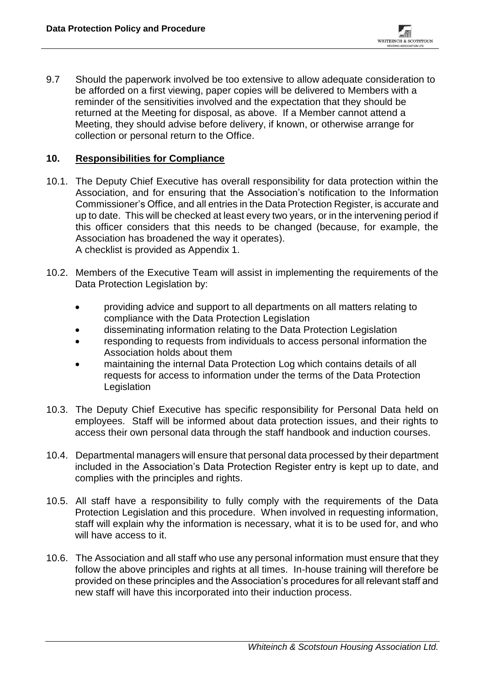9.7 Should the paperwork involved be too extensive to allow adequate consideration to be afforded on a first viewing, paper copies will be delivered to Members with a reminder of the sensitivities involved and the expectation that they should be returned at the Meeting for disposal, as above. If a Member cannot attend a Meeting, they should advise before delivery, if known, or otherwise arrange for collection or personal return to the Office.

## **10. Responsibilities for Compliance**

- 10.1. The Deputy Chief Executive has overall responsibility for data protection within the Association, and for ensuring that the Association's notification to the Information Commissioner's Office, and all entries in the Data Protection Register, is accurate and up to date. This will be checked at least every two years, or in the intervening period if this officer considers that this needs to be changed (because, for example, the Association has broadened the way it operates). A checklist is provided as Appendix 1.
- 10.2. Members of the Executive Team will assist in implementing the requirements of the Data Protection Legislation by:
	- providing advice and support to all departments on all matters relating to compliance with the Data Protection Legislation
	- disseminating information relating to the Data Protection Legislation
	- responding to requests from individuals to access personal information the Association holds about them
	- maintaining the internal Data Protection Log which contains details of all requests for access to information under the terms of the Data Protection Legislation
- 10.3. The Deputy Chief Executive has specific responsibility for Personal Data held on employees. Staff will be informed about data protection issues, and their rights to access their own personal data through the staff handbook and induction courses.
- 10.4. Departmental managers will ensure that personal data processed by their department included in the Association's Data Protection Register entry is kept up to date, and complies with the principles and rights.
- 10.5. All staff have a responsibility to fully comply with the requirements of the Data Protection Legislation and this procedure. When involved in requesting information, staff will explain why the information is necessary, what it is to be used for, and who will have access to it.
- 10.6. The Association and all staff who use any personal information must ensure that they follow the above principles and rights at all times. In-house training will therefore be provided on these principles and the Association's procedures for all relevant staff and new staff will have this incorporated into their induction process.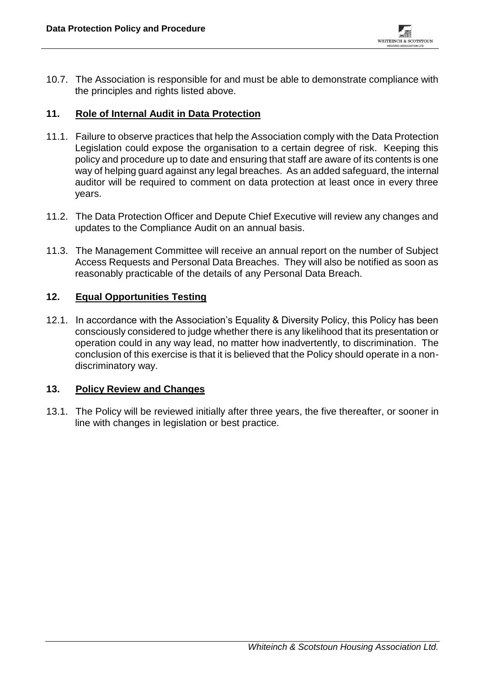

10.7. The Association is responsible for and must be able to demonstrate compliance with the principles and rights listed above.

## **11. Role of Internal Audit in Data Protection**

- 11.1. Failure to observe practices that help the Association comply with the Data Protection Legislation could expose the organisation to a certain degree of risk. Keeping this policy and procedure up to date and ensuring that staff are aware of its contents is one way of helping guard against any legal breaches. As an added safeguard, the internal auditor will be required to comment on data protection at least once in every three years.
- 11.2. The Data Protection Officer and Depute Chief Executive will review any changes and updates to the Compliance Audit on an annual basis.
- 11.3. The Management Committee will receive an annual report on the number of Subject Access Requests and Personal Data Breaches. They will also be notified as soon as reasonably practicable of the details of any Personal Data Breach.

#### **12. Equal Opportunities Testing**

12.1. In accordance with the Association's Equality & Diversity Policy, this Policy has been consciously considered to judge whether there is any likelihood that its presentation or operation could in any way lead, no matter how inadvertently, to discrimination. The conclusion of this exercise is that it is believed that the Policy should operate in a nondiscriminatory way.

## **13. Policy Review and Changes**

13.1. The Policy will be reviewed initially after three years, the five thereafter, or sooner in line with changes in legislation or best practice.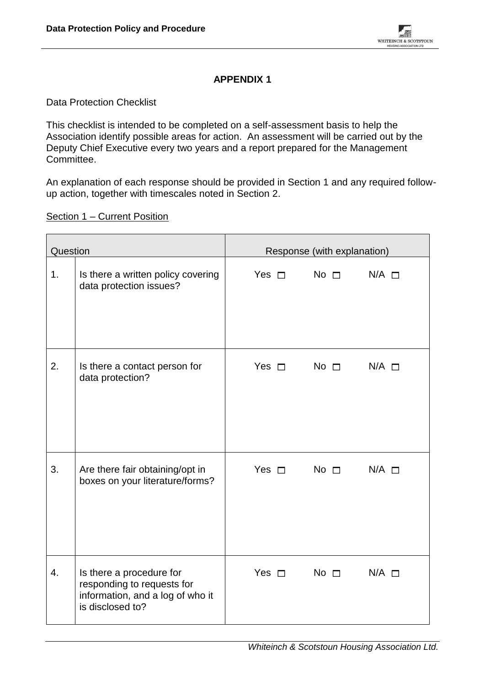## **APPENDIX 1**

Data Protection Checklist

This checklist is intended to be completed on a self-assessment basis to help the Association identify possible areas for action. An assessment will be carried out by the Deputy Chief Executive every two years and a report prepared for the Management Committee.

An explanation of each response should be provided in Section 1 and any required followup action, together with timescales noted in Section 2.

## Section 1 – Current Position

| Question         |                                                                                                                | Response (with explanation) |                      |                 |
|------------------|----------------------------------------------------------------------------------------------------------------|-----------------------------|----------------------|-----------------|
| 1.               | Is there a written policy covering<br>data protection issues?                                                  | Yes $\Box$                  | $No \Box$            | $N/A$ $\square$ |
| 2.               | Is there a contact person for<br>data protection?                                                              | Yes $\square$               | $No \Box$ $N/A \Box$ |                 |
| 3.               | Are there fair obtaining/opt in<br>boxes on your literature/forms?                                             | Yes $\square$               | No $\square$         | $N/A$ $\square$ |
| $\overline{4}$ . | Is there a procedure for<br>responding to requests for<br>information, and a log of who it<br>is disclosed to? | Yes $\Box$                  | No $\square$         | $N/A$ $\Box$    |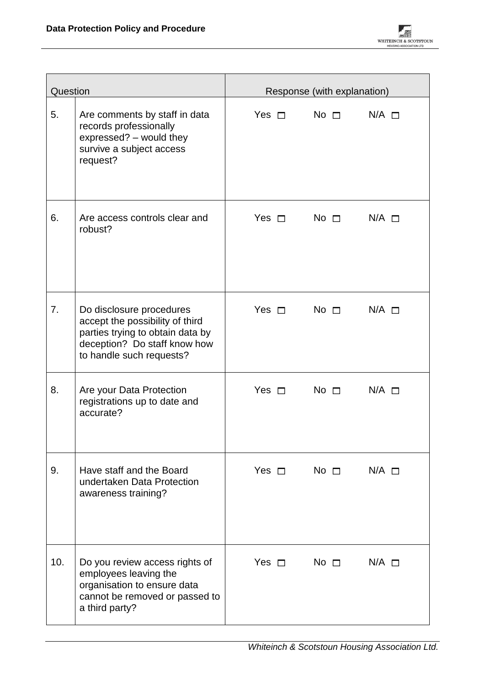

| Question |                                                                                                                                                             | Response (with explanation)     |                      |                 |
|----------|-------------------------------------------------------------------------------------------------------------------------------------------------------------|---------------------------------|----------------------|-----------------|
| 5.       | Are comments by staff in data<br>records professionally<br>expressed? - would they<br>survive a subject access<br>request?                                  | Yes $\Box$ No $\Box$ N/A $\Box$ |                      |                 |
| 6.       | Are access controls clear and<br>robust?                                                                                                                    | Yes $\Box$                      | No $\square$         | $N/A$ $\square$ |
| 7.       | Do disclosure procedures<br>accept the possibility of third<br>parties trying to obtain data by<br>deception? Do staff know how<br>to handle such requests? | Yes $\Box$ No $\Box$ N/A $\Box$ |                      |                 |
| 8.       | Are your Data Protection<br>registrations up to date and<br>accurate?                                                                                       | Yes $\square$                   | $No \Box$ $N/A \Box$ |                 |
| 9.       | Have staff and the Board<br>undertaken Data Protection<br>awareness training?                                                                               | Yes $\Box$ No $\Box$ N/A $\Box$ |                      |                 |
| 10.      | Do you review access rights of<br>employees leaving the<br>organisation to ensure data<br>cannot be removed or passed to<br>a third party?                  | Yes $\square$ No $\square$      |                      | $N/A$ $\square$ |